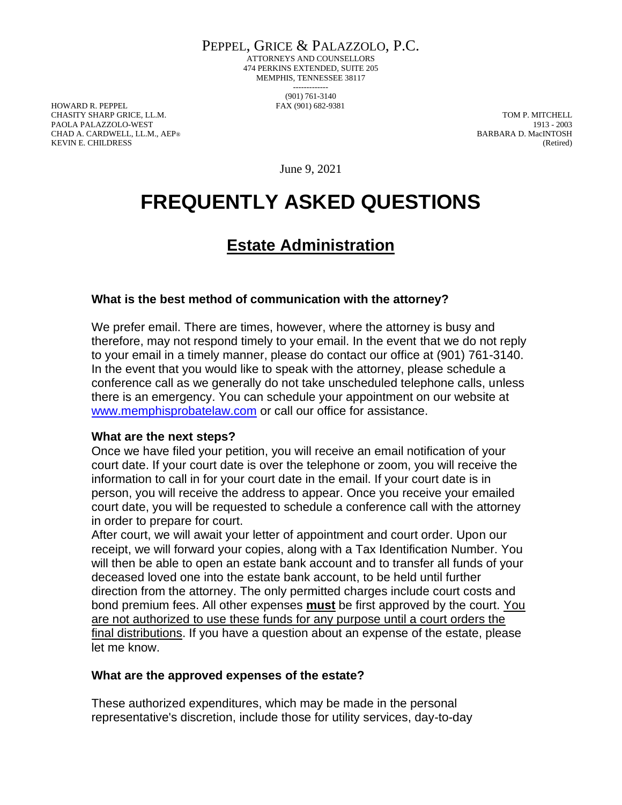PEPPEL, GRICE & PALAZZOLO, P.C.

ATTORNEYS AND COUNSELLORS 474 PERKINS EXTENDED, SUITE 205 MEMPHIS, TENNESSEE 38117 ------------- (901) 761-3140

HOWARD R. PEPPEL FAX (901) 682-9381 CHASITY SHARP GRICE, LL.M. TOM P. MITCHELL PAOLA PALAZZOLO-WEST 1913 - 2003 CHAD A. CARDWELL, LL.M., AEP® BARBARA D. MacINTOSH KEVIN E. CHILDRESS (Retired)

June 9, 2021

# **FREQUENTLY ASKED QUESTIONS**

# **Estate Administration**

## **What is the best method of communication with the attorney?**

We prefer email. There are times, however, where the attorney is busy and therefore, may not respond timely to your email. In the event that we do not reply to your email in a timely manner, please do contact our office at (901) 761-3140. In the event that you would like to speak with the attorney, please schedule a conference call as we generally do not take unscheduled telephone calls, unless there is an emergency. You can schedule your appointment on our website at [www.memphisprobatelaw.com](http://www.memphisprobatelaw.com/) or call our office for assistance.

#### **What are the next steps?**

Once we have filed your petition, you will receive an email notification of your court date. If your court date is over the telephone or zoom, you will receive the information to call in for your court date in the email. If your court date is in person, you will receive the address to appear. Once you receive your emailed court date, you will be requested to schedule a conference call with the attorney in order to prepare for court.

After court, we will await your letter of appointment and court order. Upon our receipt, we will forward your copies, along with a Tax Identification Number. You will then be able to open an estate bank account and to transfer all funds of your deceased loved one into the estate bank account, to be held until further direction from the attorney. The only permitted charges include court costs and bond premium fees. All other expenses **must** be first approved by the court. You are not authorized to use these funds for any purpose until a court orders the final distributions. If you have a question about an expense of the estate, please let me know.

## **What are the approved expenses of the estate?**

These authorized expenditures, which may be made in the personal representative's discretion, include those for utility services, day-to-day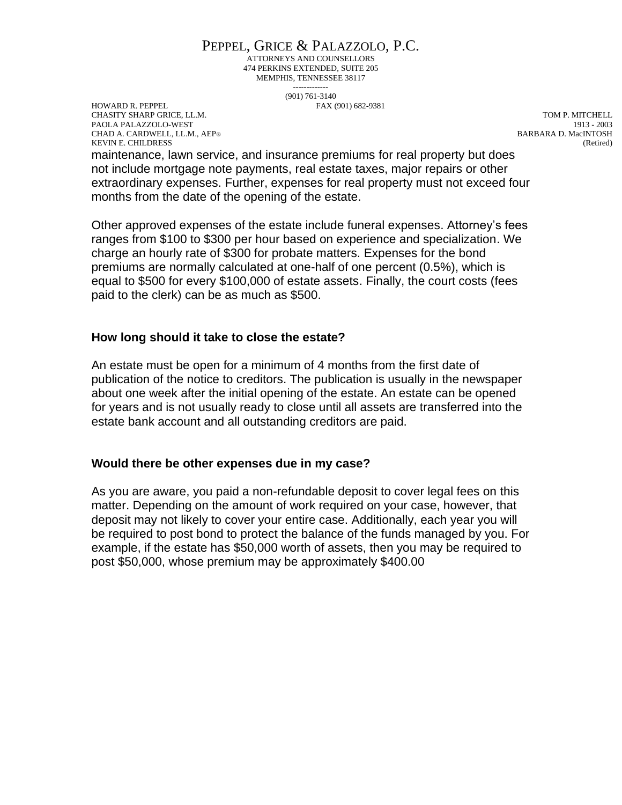# PEPPEL, GRICE & PALAZZOLO, P.C.

ATTORNEYS AND COUNSELLORS 474 PERKINS EXTENDED, SUITE 205 MEMPHIS, TENNESSEE 38117 -------------

(901) 761-3140

HOWARD R. PEPPEL FAX (901) 682-9381 CHASITY SHARP GRICE, LL.M. TOM P. MITCHELL PAOLA PALAZZOLO-WEST 1913 - 2003 CHAD A. CARDWELL, LL.M., AEP® BARBARA D. MacINTOSH KEVIN E. CHILDRESS (Retired)

maintenance, lawn service, and insurance premiums for real property but does not include mortgage note payments, real estate taxes, major repairs or other extraordinary expenses. Further, expenses for real property must not exceed four months from the date of the opening of the estate.

Other approved expenses of the estate include funeral expenses. Attorney's fees ranges from \$100 to \$300 per hour based on experience and specialization. We charge an hourly rate of \$300 for probate matters. Expenses for the bond premiums are normally calculated at one-half of one percent (0.5%), which is equal to \$500 for every \$100,000 of estate assets. Finally, the court costs (fees paid to the clerk) can be as much as \$500.

### **How long should it take to close the estate?**

An estate must be open for a minimum of 4 months from the first date of publication of the notice to creditors. The publication is usually in the newspaper about one week after the initial opening of the estate. An estate can be opened for years and is not usually ready to close until all assets are transferred into the estate bank account and all outstanding creditors are paid.

#### **Would there be other expenses due in my case?**

As you are aware, you paid a non-refundable deposit to cover legal fees on this matter. Depending on the amount of work required on your case, however, that deposit may not likely to cover your entire case. Additionally, each year you will be required to post bond to protect the balance of the funds managed by you. For example, if the estate has \$50,000 worth of assets, then you may be required to post \$50,000, whose premium may be approximately \$400.00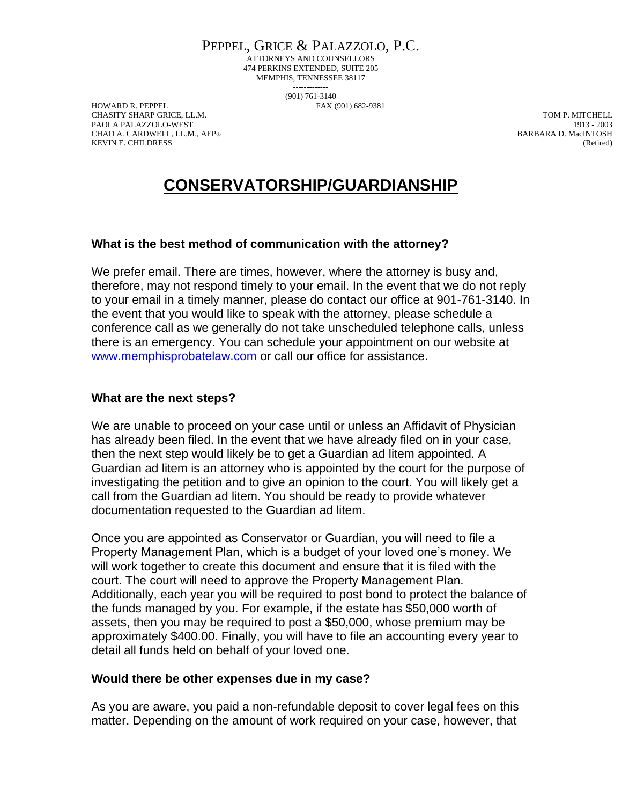PEPPEL, GRICE & PALAZZOLO, P.C. ATTORNEYS AND COUNSELLORS 474 PERKINS EXTENDED, SUITE 205 MEMPHIS, TENNESSEE 38117

> ------------- (901) 761-3140

HOWARD R. PEPPEL FAX (901) 682-9381 CHASITY SHARP GRICE, LL.M. TOM P. MITCHELL PAOLA PALAZZOLO-WEST 1913 - 2003 CHAD A. CARDWELL, LL.M., AEP® BARBARA D. MacINTOSH KEVIN E. CHILDRESS (Retired)

# **CONSERVATORSHIP/GUARDIANSHIP**

### **What is the best method of communication with the attorney?**

We prefer email. There are times, however, where the attorney is busy and, therefore, may not respond timely to your email. In the event that we do not reply to your email in a timely manner, please do contact our office at 901-761-3140. In the event that you would like to speak with the attorney, please schedule a conference call as we generally do not take unscheduled telephone calls, unless there is an emergency. You can schedule your appointment on our website at [www.memphisprobatelaw.com](http://www.memphisprobatelaw.com/) or call our office for assistance.

### **What are the next steps?**

We are unable to proceed on your case until or unless an Affidavit of Physician has already been filed. In the event that we have already filed on in your case, then the next step would likely be to get a Guardian ad litem appointed. A Guardian ad litem is an attorney who is appointed by the court for the purpose of investigating the petition and to give an opinion to the court. You will likely get a call from the Guardian ad litem. You should be ready to provide whatever documentation requested to the Guardian ad litem.

Once you are appointed as Conservator or Guardian, you will need to file a Property Management Plan, which is a budget of your loved one's money. We will work together to create this document and ensure that it is filed with the court. The court will need to approve the Property Management Plan. Additionally, each year you will be required to post bond to protect the balance of the funds managed by you. For example, if the estate has \$50,000 worth of assets, then you may be required to post a \$50,000, whose premium may be approximately \$400.00. Finally, you will have to file an accounting every year to detail all funds held on behalf of your loved one.

#### **Would there be other expenses due in my case?**

As you are aware, you paid a non-refundable deposit to cover legal fees on this matter. Depending on the amount of work required on your case, however, that